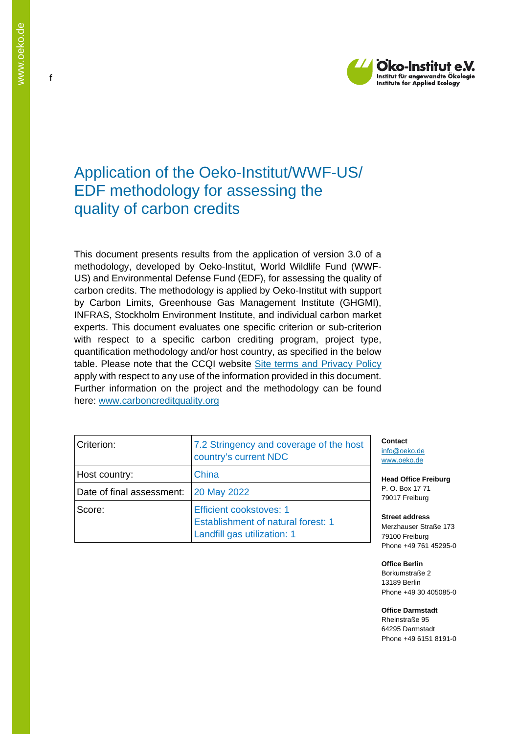

# Application of the Oeko-Institut/WWF-US/ EDF methodology for assessing the quality of carbon credits

This document presents results from the application of version 3.0 of a methodology, developed by Oeko-Institut, World Wildlife Fund (WWF-US) and Environmental Defense Fund (EDF), for assessing the quality of carbon credits. The methodology is applied by Oeko-Institut with support by Carbon Limits, Greenhouse Gas Management Institute (GHGMI), INFRAS, Stockholm Environment Institute, and individual carbon market experts. This document evaluates one specific criterion or sub-criterion with respect to a specific carbon crediting program, project type, quantification methodology and/or host country, as specified in the below table. Please note that the CCQI website [Site terms and Privacy Policy](https://carboncreditquality.org/terms.html) apply with respect to any use of the information provided in this document. Further information on the project and the methodology can be found here: [www.carboncreditquality.org](http://www.carboncreditquality.org/)

| Criterion:                | 7.2 Stringency and coverage of the host<br>country's current NDC                                           |
|---------------------------|------------------------------------------------------------------------------------------------------------|
| Host country:             | China                                                                                                      |
| Date of final assessment: | <b>20 May 2022</b>                                                                                         |
| Score:                    | <b>Efficient cookstoves: 1</b><br><b>Establishment of natural forest: 1</b><br>Landfill gas utilization: 1 |

**Contact** [info@oeko.de](mailto:info@oeko.de) [www.oeko.de](http://www.oeko.de/)

**Head Office Freiburg** P. O. Box 17 71 79017 Freiburg

**Street address** Merzhauser Straße 173 79100 Freiburg Phone +49 761 45295-0

**Office Berlin** Borkumstraße 2 13189 Berlin Phone +49 30 405085-0

**Office Darmstadt** Rheinstraße 95 64295 Darmstadt Phone +49 6151 8191-0

f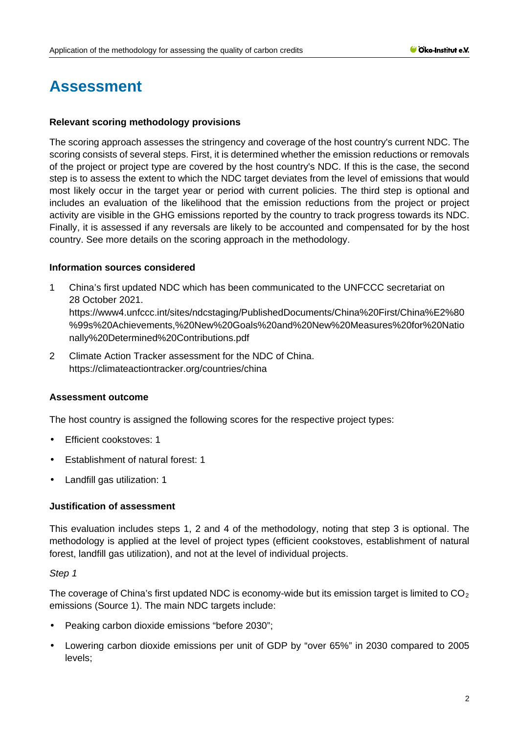# **Assessment**

#### **Relevant scoring methodology provisions**

The scoring approach assesses the stringency and coverage of the host country's current NDC. The scoring consists of several steps. First, it is determined whether the emission reductions or removals of the project or project type are covered by the host country's NDC. If this is the case, the second step is to assess the extent to which the NDC target deviates from the level of emissions that would most likely occur in the target year or period with current policies. The third step is optional and includes an evaluation of the likelihood that the emission reductions from the project or project activity are visible in the GHG emissions reported by the country to track progress towards its NDC. Finally, it is assessed if any reversals are likely to be accounted and compensated for by the host country. See more details on the scoring approach in the methodology.

#### **Information sources considered**

- 1 China's first updated NDC which has been communicated to the UNFCCC secretariat on 28 October 2021. [https://www4.unfccc.int/sites/ndcstaging/PublishedDocuments/China%20First/China%E2%80](https://www4.unfccc.int/sites/ndcstaging/PublishedDocuments/China%20First/China%E2%80%99s%20Achievements,%20New%20Goals%20and%20New%20Measures%20for%20Nationally%20Determined%20Contributions.pdf) [%99s%20Achievements,%20New%20Goals%20and%20New%20Measures%20for%20Natio](https://www4.unfccc.int/sites/ndcstaging/PublishedDocuments/China%20First/China%E2%80%99s%20Achievements,%20New%20Goals%20and%20New%20Measures%20for%20Nationally%20Determined%20Contributions.pdf) [nally%20Determined%20Contributions.pdf](https://www4.unfccc.int/sites/ndcstaging/PublishedDocuments/China%20First/China%E2%80%99s%20Achievements,%20New%20Goals%20and%20New%20Measures%20for%20Nationally%20Determined%20Contributions.pdf)
- 2 Climate Action Tracker assessment for the NDC of China. [https://climateactiontracker.org/countries/china](https://climateactiontracker.org/countries/china/)

#### **Assessment outcome**

The host country is assigned the following scores for the respective project types:

- Efficient cookstoves: 1
- Establishment of natural forest: 1
- Landfill gas utilization: 1

#### **Justification of assessment**

This evaluation includes steps 1, 2 and 4 of the methodology, noting that step 3 is optional. The methodology is applied at the level of project types (efficient cookstoves, establishment of natural forest, landfill gas utilization), and not at the level of individual projects.

#### *Step 1*

The coverage of China's first updated NDC is economy-wide but its emission target is limited to  $CO<sub>2</sub>$ emissions (Source 1). The main NDC targets include:

- Peaking carbon dioxide emissions "before 2030";
- Lowering carbon dioxide emissions per unit of GDP by "over 65%" in 2030 compared to 2005 levels;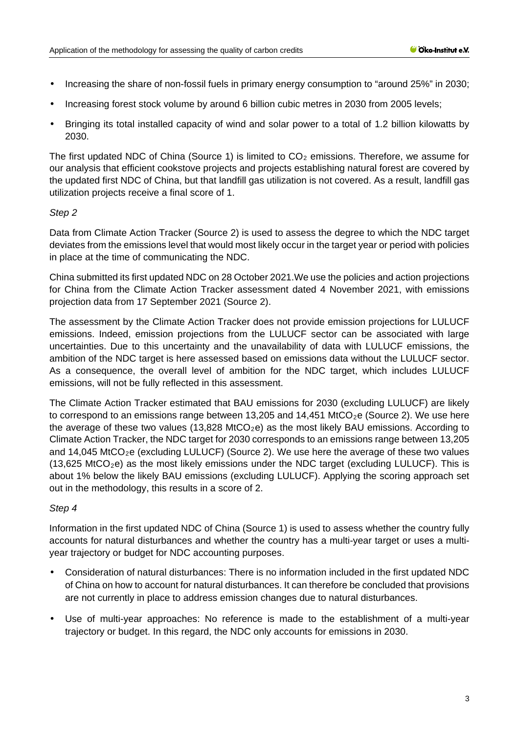- Increasing the share of non-fossil fuels in primary energy consumption to "around 25%" in 2030; t,
- Increasing forest stock volume by around 6 billion cubic metres in 2030 from 2005 levels; t.
- Bringing its total installed capacity of wind and solar power to a total of 1.2 billion kilowatts by 2030.

The first updated NDC of China (Source 1) is limited to  $CO<sub>2</sub>$  emissions. Therefore, we assume for our analysis that efficient cookstove projects and projects establishing natural forest are covered by the updated first NDC of China, but that landfill gas utilization is not covered. As a result, landfill gas utilization projects receive a final score of 1.

## *Step 2*

Data from Climate Action Tracker (Source 2) is used to assess the degree to which the NDC target deviates from the emissions level that would most likely occur in the target year or period with policies in place at the time of communicating the NDC.

China submitted its first updated NDC on 28 October 2021.We use the policies and action projections for China from the Climate Action Tracker assessment dated 4 November 2021, with emissions projection data from 17 September 2021 (Source 2).

The assessment by the Climate Action Tracker does not provide emission projections for LULUCF emissions. Indeed, emission projections from the LULUCF sector can be associated with large uncertainties. Due to this uncertainty and the unavailability of data with LULUCF emissions, the ambition of the NDC target is here assessed based on emissions data without the LULUCF sector. As a consequence, the overall level of ambition for the NDC target, which includes LULUCF emissions, will not be fully reflected in this assessment.

The Climate Action Tracker estimated that BAU emissions for 2030 (excluding LULUCF) are likely to correspond to an emissions range between 13,205 and 14,451 MtCO<sub>2</sub>e (Source 2). We use here the average of these two values (13,828 MtCO<sub>2</sub>e) as the most likely BAU emissions. According to Climate Action Tracker, the NDC target for 2030 corresponds to an emissions range between 13,205 and  $14,045$  MtCO<sub>2</sub>e (excluding LULUCF) (Source 2). We use here the average of these two values  $(13,625 \text{ MtCO}_2)$  as the most likely emissions under the NDC target (excluding LULUCF). This is about 1% below the likely BAU emissions (excluding LULUCF). Applying the scoring approach set out in the methodology, this results in a score of 2.

## *Step 4*

Information in the first updated NDC of China (Source 1) is used to assess whether the country fully accounts for natural disturbances and whether the country has a multi-year target or uses a multiyear trajectory or budget for NDC accounting purposes.

- Consideration of natural disturbances: There is no information included in the first updated NDC of China on how to account for natural disturbances. It can therefore be concluded that provisions are not currently in place to address emission changes due to natural disturbances.
- Use of multi-year approaches: No reference is made to the establishment of a multi-year trajectory or budget. In this regard, the NDC only accounts for emissions in 2030.